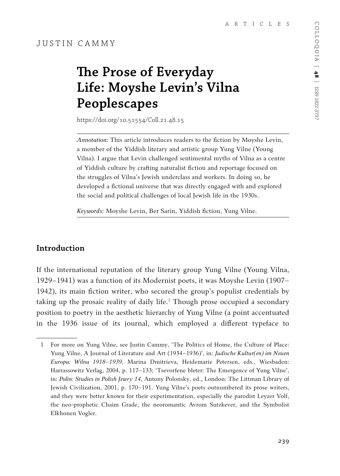# **The Prose of Everyday Life: Moyshe Levin's Vilna Peoplescapes**

https://doi.org/10.51554/Coll.21.48.15

*Annotation*: This article introduces readers to the fiction by Moyshe Levin, a member of the Yiddish literary and artistic group Yung Vilne (Young Vilna). I argue that Levin challenged sentimental myths of Vilna as a centre of Yiddish culture by crafting naturalist fiction and reportage focused on the struggles of Vilna's Jewish underclass and workers. In doing so, he developed a fictional universe that was directly engaged with and explored the social and political challenges of local Jewish life in the 1930s.

*Keywords*: Moyshe Levin, Ber Sarin, Yiddish fiction, Yung Vilne.

# **Introduction**

If the international reputation of the literary group Yung Vilne (Young Vilna, 1929–1941) was a function of its Modernist poets, it was Moyshe Levin (1907– 1942), its main fiction writer, who secured the group's populist credentials by taking up the prosaic reality of daily life.<sup>1</sup> Though prose occupied a secondary position to poetry in the aesthetic hierarchy of Yung Vilne (a point accentuated in the 1936 issue of its journal, which employed a different typeface to

<sup>1</sup> For more on Yung Vilne, see Justin Cammy, 'The Politics of Home, the Culture of Place: Yung Vilne, A Journal of Literature and Art (1934–1936)', in: *Judische Kultur(en) im Neuen Europa: Wilna 1918–1939*, Marina Dmitrieva, Heidemarie Petersen, eds., Wiesbaden: Harrassowitz Verlag, 2004, p. 117–133; 'Tsevorfene bleter: The Emergence of Yung Vilne', in: *Polin: Studies in Polish Jewry 14*, Antony Polonsky, ed., London: The Littman Library of Jewish Civilization, 2001, p. 170–191. Yung Vilne's poets outnumbered its prose writers, and they were better known for their experimentation, especially the parodist Leyzer Volf, the neo-prophetic Chaim Grade, the neoromantic Avrom Sutzkever, and the Symbolist Elkhonen Vogler.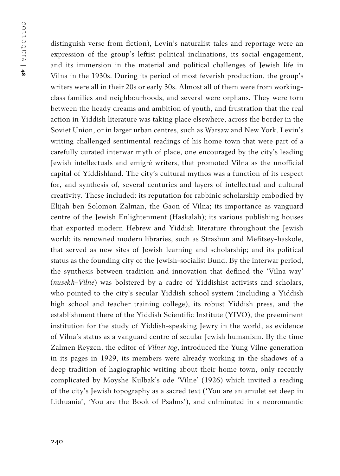distinguish verse from fiction), Levin's naturalist tales and reportage were an expression of the group's leftist political inclinations, its social engagement, and its immersion in the material and political challenges of Jewish life in Vilna in the 1930s. During its period of most feverish production, the group's writers were all in their 20s or early 30s. Almost all of them were from workingclass families and neighbourhoods, and several were orphans. They were torn between the heady dreams and ambition of youth, and frustration that the real action in Yiddish literature was taking place elsewhere, across the border in the Soviet Union, or in larger urban centres, such as Warsaw and New York. Levin's writing challenged sentimental readings of his home town that were part of a carefully curated interwar myth of place, one encouraged by the city's leading Jewish intellectuals and emigré writers, that promoted Vilna as the unofficial capital of Yiddishland. The city's cultural mythos was a function of its respect for, and synthesis of, several centuries and layers of intellectual and cultural creativity. These included: its reputation for rabbinic scholarship embodied by Elijah ben Solomon Zalman, the Gaon of Vilna; its importance as vanguard centre of the Jewish Enlightenment (Haskalah); its various publishing houses that exported modern Hebrew and Yiddish literature throughout the Jewish world; its renowned modern libraries, such as Strashun and Mefitsey-haskole, that served as new sites of Jewish learning and scholarship; and its political status as the founding city of the Jewish-socialist Bund. By the interwar period, the synthesis between tradition and innovation that defined the 'Vilna way' (*nusekh-Vilne*) was bolstered by a cadre of Yiddishist activists and scholars, who pointed to the city's secular Yiddish school system (including a Yiddish high school and teacher training college), its robust Yiddish press, and the establishment there of the Yiddish Scientific Institute (YIVO), the preeminent institution for the study of Yiddish-speaking Jewry in the world, as evidence of Vilna's status as a vanguard centre of secular Jewish humanism. By the time Zalmen Reyzen, the editor of *Vilner tog*, introduced the Yung Vilne generation in its pages in 1929, its members were already working in the shadows of a deep tradition of hagiographic writing about their home town, only recently complicated by Moyshe Kulbak's ode 'Vilne' (1926) which invited a reading of the city's Jewish topography as a sacred text ('You are an amulet set deep in Lithuania', 'You are the Book of Psalms'), and culminated in a neoromantic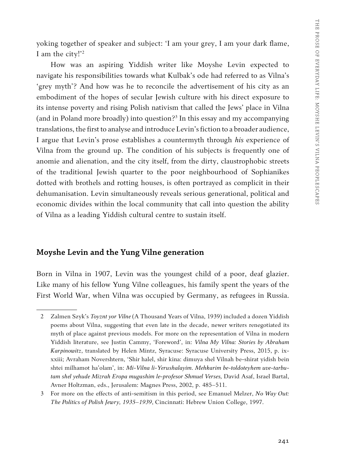yoking together of speaker and subject: 'I am your grey, I am your dark flame, I am the city!'2

How was an aspiring Yiddish writer like Moyshe Levin expected to navigate his responsibilities towards what Kulbak's ode had referred to as Vilna's 'grey myth'? And how was he to reconcile the advertisement of his city as an embodiment of the hopes of secular Jewish culture with his direct exposure to its intense poverty and rising Polish nativism that called the Jews' place in Vilna (and in Poland more broadly) into question?3 In this essay and my accompanying translations, the first to analyse and introduce Levin's fiction to a broader audience, I argue that Levin's prose establishes a countermyth through *his* experience of Vilna from the ground up. The condition of his subjects is frequently one of anomie and alienation, and the city itself, from the dirty, claustrophobic streets of the traditional Jewish quarter to the poor neighbourhood of Sophianikes dotted with brothels and rotting houses, is often portrayed as complicit in their dehumanisation. Levin simultaneously reveals serious generational, political and economic divides within the local community that call into question the ability of Vilna as a leading Yiddish cultural centre to sustain itself.

### **Moyshe Levin and the Yung Vilne generation**

Born in Vilna in 1907, Levin was the youngest child of a poor, deaf glazier. Like many of his fellow Yung Vilne colleagues, his family spent the years of the First World War, when Vilna was occupied by Germany, as refugees in Russia.

<sup>2</sup> Zalmen Szyk's *Toyznt yor Vilne* (A Thousand Years of Vilna, 1939) included a dozen Yiddish poems about Vilna, suggesting that even late in the decade, newer writers renegotiated its myth of place against previous models. For more on the representation of Vilna in modern Yiddish literature, see Justin Cammy, 'Foreword', in: *Vilna My Vilna: Stories by Abraham Karpinowitz*, translated by Helen Mintz, Syracuse: Syracuse University Press, 2015, p. ixxxiii; Avraham Novershtern, 'Shir halel, shir kina: dimuya shel Vilnah be-shirat yidish bein shtei milhamot ha'olam', in: *Mi-Vilna li-Yerushalayim. Mehkarim be-toldoteyhem uve-tarbutam shel yehude Mizrah Eropa mugashim le-profesor Shmuel Verses,* David Asaf, Israel Bartal, Avner Holtzman, eds., Jerusalem: Magnes Press, 2002, p. 485–511.

<sup>3</sup> For more on the effects of anti-semitism in this period, see Emanuel Melzer, *No Way Out: The Politics of Polish Jewry, 1935–1939*, Cincinnati: Hebrew Union College, 1997.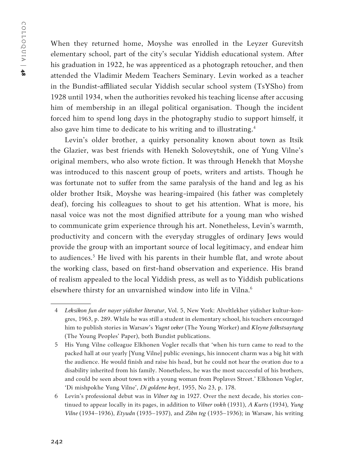When they returned home, Moyshe was enrolled in the Leyzer Gurevitsh elementary school, part of the city's secular Yiddish educational system. After his graduation in 1922, he was apprenticed as a photograph retoucher, and then attended the Vladimir Medem Teachers Seminary. Levin worked as a teacher in the Bundist-affiliated secular Yiddish secular school system (TsYSho) from 1928 until 1934, when the authorities revoked his teaching license after accusing him of membership in an illegal political organisation. Though the incident forced him to spend long days in the photography studio to support himself, it also gave him time to dedicate to his writing and to illustrating.<sup>4</sup>

Levin's older brother, a quirky personality known about town as Itsik the Glazier, was best friends with Henekh Soloveytshik, one of Yung Vilne's original members, who also wrote fiction. It was through Henekh that Moyshe was introduced to this nascent group of poets, writers and artists. Though he was fortunate not to suffer from the same paralysis of the hand and leg as his older brother Itsik, Moyshe was hearing-impaired (his father was completely deaf), forcing his colleagues to shout to get his attention. What is more, his nasal voice was not the most dignified attribute for a young man who wished to communicate grim experience through his art. Nonetheless, Levin's warmth, productivity and concern with the everyday struggles of ordinary Jews would provide the group with an important source of local legitimacy, and endear him to audiences.<sup>5</sup> He lived with his parents in their humble flat, and wrote about the working class, based on first-hand observation and experience. His brand of realism appealed to the local Yiddish press, as well as to Yiddish publications elsewhere thirsty for an unvarnished window into life in Vilna.<sup>6</sup>

<sup>4</sup> *Leksikon fun der nayer yidisher literatur*, Vol. 5, New York: Alveltlekher yidisher kultur-kongres, 1963, p. 289. While he was still a student in elementary school, his teachers encouraged him to publish stories in Warsaw's *Yugnt veker* (The Young Worker) and *Kleyne folkstsaytung*  (The Young Peoples' Paper), both Bundist publications.

<sup>5</sup> His Yung Vilne colleague Elkhonen Vogler recalls that 'when his turn came to read to the packed hall at our yearly [Yung Vilne] public evenings, his innocent charm was a big hit with the audience. He would finish and raise his head, but he could not hear the ovation due to a disability inherited from his family. Nonetheless, he was the most successful of his brothers, and could be seen about town with a young woman from Poplaves Street.' Elkhonen Vogler, 'Di mishpokhe Yung Vilne', *Di goldene keyt*, 1955, No 23, p. 178.

<sup>6</sup> Levin's professional debut was in *Vilner tog* in 1927. Over the next decade, his stories continued to appear locally in its pages, in addition to *Vilner vokh* (1931), *A Kurts* (1934), *Yung Vilne* (1934–1936), *Etyudn* (1935–1937), and *Zibn teg* (1935–1936); in Warsaw, his writing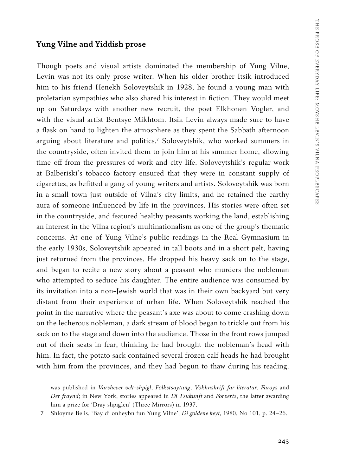#### **Yung Vilne and Yiddish prose**

Though poets and visual artists dominated the membership of Yung Vilne, Levin was not its only prose writer. When his older brother Itsik introduced him to his friend Henekh Soloveytshik in 1928, he found a young man with proletarian sympathies who also shared his interest in fiction. They would meet up on Saturdays with another new recruit, the poet Elkhonen Vogler, and with the visual artist Bentsye Mikhtom. Itsik Levin always made sure to have a flask on hand to lighten the atmosphere as they spent the Sabbath afternoon arguing about literature and politics.7 Soloveytshik, who worked summers in the countryside, often invited them to join him at his summer home, allowing time off from the pressures of work and city life. Soloveytshik's regular work at Balberiski's tobacco factory ensured that they were in constant supply of cigarettes, as befitted a gang of young writers and artists. Soloveytshik was born in a small town just outside of Vilna's city limits, and he retained the earthy aura of someone influenced by life in the provinces. His stories were often set in the countryside, and featured healthy peasants working the land, establishing an interest in the Vilna region's multinationalism as one of the group's thematic concerns. At one of Yung Vilne's public readings in the Real Gymnasium in the early 1930s, Soloveytshik appeared in tall boots and in a short pelt, having just returned from the provinces. He dropped his heavy sack on to the stage, and began to recite a new story about a peasant who murders the nobleman who attempted to seduce his daughter. The entire audience was consumed by its invitation into a non-Jewish world that was in their own backyard but very distant from their experience of urban life. When Soloveytshik reached the point in the narrative where the peasant's axe was about to come crashing down on the lecherous nobleman, a dark stream of blood began to trickle out from his sack on to the stage and down into the audience. Those in the front rows jumped out of their seats in fear, thinking he had brought the nobleman's head with him. In fact, the potato sack contained several frozen calf heads he had brought with him from the provinces, and they had begun to thaw during his reading.

was published in *Varshever velt-shpigl*, *Folkstsaytung*, *Vokhnshrift far literatur*, *Faroys* and *Der fraynd*; in New York, stories appeared in *Di Tsukunft* and *Forverts*, the latter awarding him a prize for 'Dray shpiglen' (Three Mirrors) in 1937.

<sup>7</sup> Shloyme Belis, 'Bay di onheybn fun Yung Vilne', *Di goldene keyt,* 1980, No 101, p. 24–26.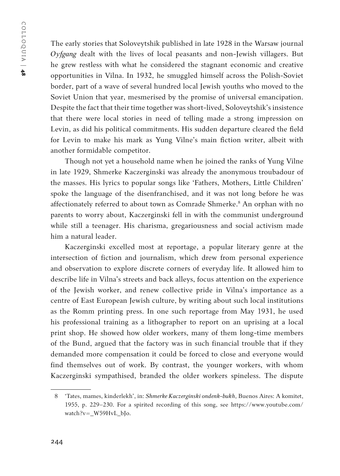The early stories that Soloveytshik published in late 1928 in the Warsaw journal *Oyfgang* dealt with the lives of local peasants and non-Jewish villagers. But he grew restless with what he considered the stagnant economic and creative opportunities in Vilna. In 1932, he smuggled himself across the Polish-Soviet border, part of a wave of several hundred local Jewish youths who moved to the Soviet Union that year, mesmerised by the promise of universal emancipation. Despite the fact that their time together was short-lived, Soloveytshik's insistence that there were local stories in need of telling made a strong impression on Levin, as did his political commitments. His sudden departure cleared the field for Levin to make his mark as Yung Vilne's main fiction writer, albeit with another formidable competitor.

Though not yet a household name when he joined the ranks of Yung Vilne in late 1929, Shmerke Kaczerginski was already the anonymous troubadour of the masses. His lyrics to popular songs like 'Fathers, Mothers, Little Children' spoke the language of the disenfranchised, and it was not long before he was affectionately referred to about town as Comrade Shmerke.<sup>8</sup> An orphan with no parents to worry about, Kaczerginski fell in with the communist underground while still a teenager. His charisma, gregariousness and social activism made him a natural leader.

Kaczerginski excelled most at reportage, a popular literary genre at the intersection of fiction and journalism, which drew from personal experience and observation to explore discrete corners of everyday life. It allowed him to describe life in Vilna's streets and back alleys, focus attention on the experience of the Jewish worker, and renew collective pride in Vilna's importance as a centre of East European Jewish culture, by writing about such local institutions as the Romm printing press. In one such reportage from May 1931, he used his professional training as a lithographer to report on an uprising at a local print shop. He showed how older workers, many of them long-time members of the Bund, argued that the factory was in such financial trouble that if they demanded more compensation it could be forced to close and everyone would find themselves out of work. By contrast, the younger workers, with whom Kaczerginski sympathised, branded the older workers spineless. The dispute

<sup>8</sup> 'Tates, mames, kinderlekh', in: *Shmerke Kaczerginski ondenk-bukh*, Buenos Aires: A komitet, 1955, p. 229–230. For a spirited recording of this song, see https://www.youtube.com/ watch?v=\_W59HvL\_bJo.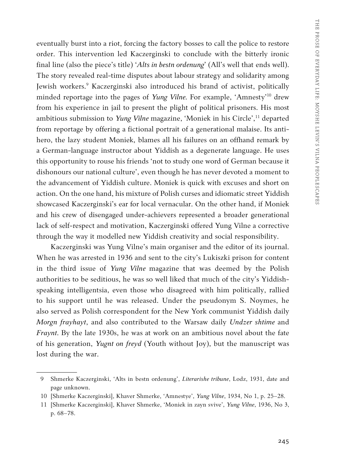eventually burst into a riot, forcing the factory bosses to call the police to restore order. This intervention led Kaczerginski to conclude with the bitterly ironic final line (also the piece's title) '*Alts in bestn ordenung*' (All's well that ends well). The story revealed real-time disputes about labour strategy and solidarity among Jewish workers.9 Kaczerginski also introduced his brand of activist, politically minded reportage into the pages of *Yung Vilne.*For example, 'Amnesty'10 drew from his experience in jail to present the plight of political prisoners. His most ambitious submission to *Yung Vilne* magazine, 'Moniek in his Circle',<sup>11</sup> departed from reportage by offering a fictional portrait of a generational malaise. Its antihero, the lazy student Moniek, blames all his failures on an offhand remark by a German-language instructor about Yiddish as a degenerate language. He uses this opportunity to rouse his friends 'not to study one word of German because it dishonours our national culture', even though he has never devoted a moment to the advancement of Yiddish culture. Moniek is quick with excuses and short on action. On the one hand, his mixture of Polish curses and idiomatic street Yiddish showcased Kaczerginski's ear for local vernacular. On the other hand, if Moniek and his crew of disengaged under-achievers represented a broader generational lack of self-respect and motivation, Kaczerginski offered Yung Vilne a corrective through the way it modelled new Yiddish creativity and social responsibility.

Kaczerginski was Yung Vilne's main organiser and the editor of its journal. When he was arrested in 1936 and sent to the city's Lukiszki prison for content in the third issue of *Yung Vilne* magazine that was deemed by the Polish authorities to be seditious, he was so well liked that much of the city's Yiddishspeaking intelligentsia, even those who disagreed with him politically, rallied to his support until he was released. Under the pseudonym S. Noymes, he also served as Polish correspondent for the New York communist Yiddish daily *Morgn frayhayt*, and also contributed to the Warsaw daily *Undzer shtime* and *Fraynt.*By the late 1930s, he was at work on an ambitious novel about the fate of his generation, *Yugnt on freyd* (Youth without Joy), but the manuscript was lost during the war.

<sup>9</sup> Shmerke Kaczerginski, 'Alts in bestn ordenung', *Literarishe tribune*, Lodz, 1931, date and page unknown.

<sup>10</sup> [Shmerke Kaczerginski], Khaver Shmerke, 'Amnestye', *Yung Vilne*, 1934, No 1, p. 25–28.

<sup>11</sup> [Shmerke Kaczerginski], Khaver Shmerke, 'Moniek in zayn svive', *Yung Vilne*, 1936, No 3, p. 68–78.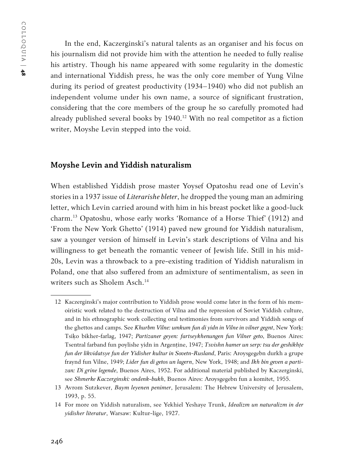In the end, Kaczerginski's natural talents as an organiser and his focus on his journalism did not provide him with the attention he needed to fully realise his artistry. Though his name appeared with some regularity in the domestic and international Yiddish press, he was the only core member of Yung Vilne during its period of greatest productivity (1934–1940) who did not publish an independent volume under his own name, a source of significant frustration, considering that the core members of the group he so carefully promoted had already published several books by 1940.<sup>12</sup> With no real competitor as a fiction writer, Moyshe Levin stepped into the void.

#### **Moyshe Levin and Yiddish naturalism**

When established Yiddish prose master Yoysef Opatoshu read one of Levin's stories in a 1937 issue of *Literarishe bleter*, he dropped the young man an admiring letter, which Levin carried around with him in his breast pocket like a good-luck charm.13 Opatoshu, whose early works 'Romance of a Horse Thief' (1912) and 'From the New York Ghetto' (1914) paved new ground for Yiddish naturalism, saw a younger version of himself in Levin's stark descriptions of Vilna and his willingness to get beneath the romantic veneer of Jewish life. Still in his mid-20s, Levin was a throwback to a pre-existing tradition of Yiddish naturalism in Poland, one that also suffered from an admixture of sentimentalism, as seen in writers such as Sholem Asch.<sup>14</sup>

<sup>12</sup> Kaczerginski's major contribution to Yiddish prose would come later in the form of his memoiristic work related to the destruction of Vilna and the repression of Soviet Yiddish culture, and in his ethnographic work collecting oral testimonies from survivors and Yiddish songs of the ghettos and camps. See *Khurbm Vilne: umkum fun di yidn in Vilne in vilner gegnt*, New Yorḳ: Tsiḳo bikher-farlag, 1947; *Partizaner geyen: fartseykhenungen fun Vilner geto*, Buenos Aires: Tsentral farband fun poylishe yidn in Argenține, 1947; *Tsvishn hamer un serp: tsu der geshikhte fun der likvidatsye fun der Yidisher kultur in Sovetn-Rusland*, Paris: Aroysgegebn durkh a grupe fraynd fun Vilne, 1949; *Lider fun di getos un lagern*, New York, 1948; and *Ikh bin geven a partizan: Di grine legende*, Buenos Aires, 1952. For additional material published by Kaczerginski, see *Shmerke Kaczerginski: ondenk-bukh*, Buenos Aires: Aroysgegebn fun a komitet, 1955.

<sup>13</sup> Avrom Sutzkever, *Baym leyenen penimer*, Jerusalem: The Hebrew University of Jerusalem, 1993, p. 55.

<sup>14</sup> For more on Yiddish naturalism, see Yekhiel Yeshaye Trunk, *Idealizm un naturalizm in der yidisher literatur*, Warsaw: Kultur-lige, 1927.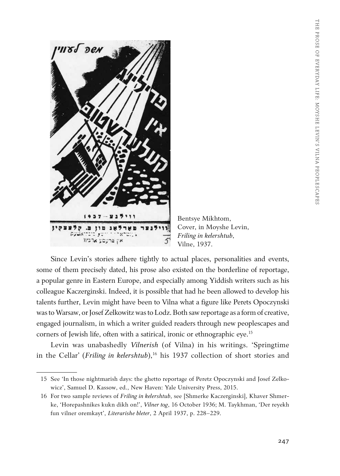

Bentsye Mikhtom, Cover, in Moyshe Levin, *Friling in kelershtub*, Vilne, 1937.

Since Levin's stories adhere tightly to actual places, personalities and events, some of them precisely dated, his prose also existed on the borderline of reportage, a popular genre in Eastern Europe, and especially among Yiddish writers such as his colleague Kaczerginski. Indeed, it is possible that had he been allowed to develop his talents further, Levin might have been to Vilna what a figure like Perets Opoczynski was to Warsaw, or Josef Zelkowitz was to Lodz. Both saw reportage as a form of creative, engaged journalism, in which a writer guided readers through new peoplescapes and corners of Jewish life, often with a satirical, ironic or ethnographic eye.<sup>15</sup>

Levin was unabashedly *Vilnerish* (of Vilna) in his writings. 'Springtime in the Cellar' (*Friling in kelershtub*),<sup>16</sup> his 1937 collection of short stories and

<sup>15</sup> See 'In those nightmarish days: the ghetto reportage of Peretz Opoczynski and Josef Zelkowicz', Samuel D. Kassow, ed., New Haven: Yale University Press, 2015.

<sup>16</sup> For two sample reviews of *Friling in kelershtub*, see [Shmerke Kaczerginski], Khaver Shmerke, 'Horepashnikes kukn dikh on!', *Vilner tog*, 16 October 1936; M. Taykhman, 'Der reyekh fun vilner oremkayt', *Literarishe bleter*, 2 April 1937, p. 228–229.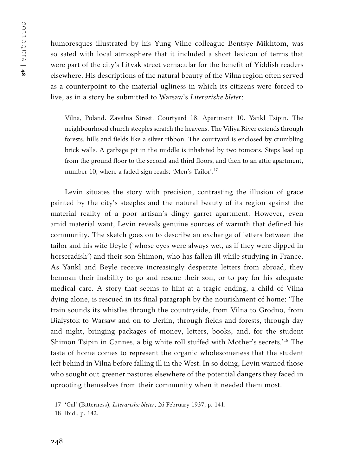humoresques illustrated by his Yung Vilne colleague Bentsye Mikhtom, was so sated with local atmosphere that it included a short lexicon of terms that were part of the city's Litvak street vernacular for the benefit of Yiddish readers elsewhere. His descriptions of the natural beauty of the Vilna region often served as a counterpoint to the material ugliness in which its citizens were forced to live, as in a story he submitted to Warsaw's *Literarishe bleter*:

Vilna, Poland. Zavalna Street. Courtyard 18. Apartment 10. Yankl Tsipin. The neighbourhood church steeples scratch the heavens. The Viliya River extends through forests, hills and fields like a silver ribbon. The courtyard is enclosed by crumbling brick walls. A garbage pit in the middle is inhabited by two tomcats. Steps lead up from the ground floor to the second and third floors, and then to an attic apartment, number 10, where a faded sign reads: 'Men's Tailor'.17

Levin situates the story with precision, contrasting the illusion of grace painted by the city's steeples and the natural beauty of its region against the material reality of a poor artisan's dingy garret apartment. However, even amid material want, Levin reveals genuine sources of warmth that defined his community. The sketch goes on to describe an exchange of letters between the tailor and his wife Beyle ('whose eyes were always wet, as if they were dipped in horseradish') and their son Shimon, who has fallen ill while studying in France. As Yankl and Beyle receive increasingly desperate letters from abroad, they bemoan their inability to go and rescue their son, or to pay for his adequate medical care. A story that seems to hint at a tragic ending, a child of Vilna dying alone, is rescued in its final paragraph by the nourishment of home: 'The train sounds its whistles through the countryside, from Vilna to Grodno, from Bialystok to Warsaw and on to Berlin, through fields and forests, through day and night, bringing packages of money, letters, books, and, for the student Shimon Tsipin in Cannes, a big white roll stuffed with Mother's secrets.'18 The taste of home comes to represent the organic wholesomeness that the student left behind in Vilna before falling ill in the West. In so doing, Levin warned those who sought out greener pastures elsewhere of the potential dangers they faced in uprooting themselves from their community when it needed them most.

<sup>17</sup> 'Gal' (Bitterness), *Literarishe bleter*, 26 February 1937, p. 141.

<sup>18</sup> Ibid., p. 142.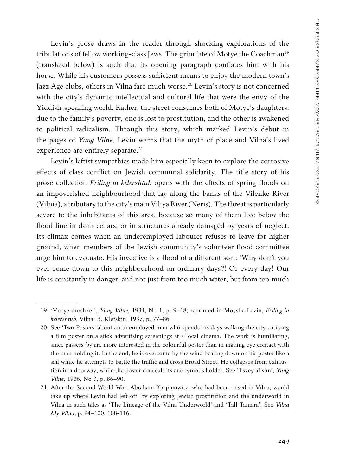Levin's prose draws in the reader through shocking explorations of the tribulations of fellow working-class Jews. The grim fate of Motye the Coachman<sup>19</sup> (translated below) is such that its opening paragraph conflates him with his horse. While his customers possess sufficient means to enjoy the modern town's Jazz Age clubs, others in Vilna fare much worse.<sup>20</sup> Levin's story is not concerned with the city's dynamic intellectual and cultural life that were the envy of the Yiddish-speaking world. Rather, the street consumes both of Motye's daughters: due to the family's poverty, one is lost to prostitution, and the other is awakened to political radicalism. Through this story, which marked Levin's debut in the pages of *Yung Vilne*, Levin warns that the myth of place and Vilna's lived experience are entirely separate.<sup>21</sup>

Levin's leftist sympathies made him especially keen to explore the corrosive effects of class conflict on Jewish communal solidarity. The title story of his prose collection *Friling in kelershtub* opens with the effects of spring floods on an impoverished neighbourhood that lay along the banks of the Vilenke River (Vilnia), a tributary to the city's main Viliya River (Neris). The threat is particularly severe to the inhabitants of this area, because so many of them live below the flood line in dank cellars, or in structures already damaged by years of neglect. Its climax comes when an underemployed labourer refuses to leave for higher ground, when members of the Jewish community's volunteer flood committee urge him to evacuate. His invective is a flood of a different sort: 'Why don't you ever come down to this neighbourhood on ordinary days?! Or every day! Our life is constantly in danger, and not just from too much water, but from too much

<sup>19</sup> 'Motye droshker', *Yung Vilne*, 1934, No 1, p. 9–18; reprinted in Moyshe Levin, *Friling in kelershtub*, Vilna: B. Kletskin, 1937, p. 77–86.

<sup>20</sup> See 'Two Posters' about an unemployed man who spends his days walking the city carrying a film poster on a stick advertising screenings at a local cinema. The work is humiliating, since passers-by are more interested in the colourful poster than in making eye contact with the man holding it. In the end, he is overcome by the wind beating down on his poster like a sail while he attempts to battle the traffic and cross Broad Street. He collapses from exhaustion in a doorway, while the poster conceals its anonymous holder. See 'Tsvey afishn', *Yung Vilne*, 1936, No 3, p. 86–90.

<sup>21</sup> After the Second World War, Abraham Karpinowitz, who had been raised in Vilna, would take up where Levin had left off, by exploring Jewish prostitution and the underworld in Vilna in such tales as 'The Lineage of the Vilna Underworld' and 'Tall Tamara'. See *Vilna My Vilna*, p. 94–100, 108-116.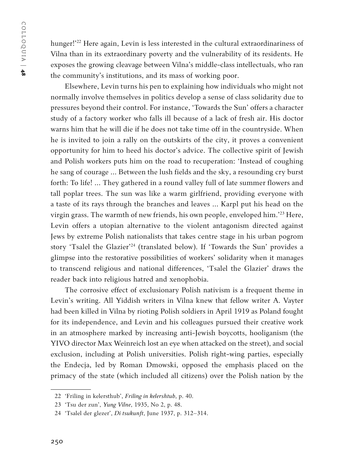hunger!<sup>'22</sup> Here again, Levin is less interested in the cultural extraordinariness of Vilna than in its extraordinary poverty and the vulnerability of its residents. He exposes the growing cleavage between Vilna's middle-class intellectuals, who ran the community's institutions, and its mass of working poor.

Elsewhere, Levin turns his pen to explaining how individuals who might not normally involve themselves in politics develop a sense of class solidarity due to pressures beyond their control. For instance, 'Towards the Sun' offers a character study of a factory worker who falls ill because of a lack of fresh air. His doctor warns him that he will die if he does not take time off in the countryside. When he is invited to join a rally on the outskirts of the city, it proves a convenient opportunity for him to heed his doctor's advice. The collective spirit of Jewish and Polish workers puts him on the road to recuperation: 'Instead of coughing he sang of courage … Between the lush fields and the sky, a resounding cry burst forth: To life! … They gathered in a round valley full of late summer flowers and tall poplar trees. The sun was like a warm girlfriend, providing everyone with a taste of its rays through the branches and leaves … Karpl put his head on the virgin grass. The warmth of new friends, his own people, enveloped him.'23 Here, Levin offers a utopian alternative to the violent antagonism directed against Jews by extreme Polish nationalists that takes centre stage in his urban pogrom story 'Tsalel the Glazier'24 (translated below). If 'Towards the Sun' provides a glimpse into the restorative possibilities of workers' solidarity when it manages to transcend religious and national differences, 'Tsalel the Glazier' draws the reader back into religious hatred and xenophobia.

The corrosive effect of exclusionary Polish nativism is a frequent theme in Levin's writing. All Yiddish writers in Vilna knew that fellow writer A. Vayter had been killed in Vilna by rioting Polish soldiers in April 1919 as Poland fought for its independence, and Levin and his colleagues pursued their creative work in an atmosphere marked by increasing anti-Jewish boycotts, hooliganism (the YIVO director Max Weinreich lost an eye when attacked on the street), and social exclusion, including at Polish universities. Polish right-wing parties, especially the Endecja, led by Roman Dmowski, opposed the emphasis placed on the primacy of the state (which included all citizens) over the Polish nation by the

<sup>22</sup> 'Friling in kelersthub', *Friling in kelershtub*, p. 40.

<sup>23</sup> 'Tsu der zun', *Yung Vilne*, 1935, No 2, p. 48.

<sup>24</sup> 'Tsalel der glezer', *Di tsukunft*, June 1937, p. 312–314.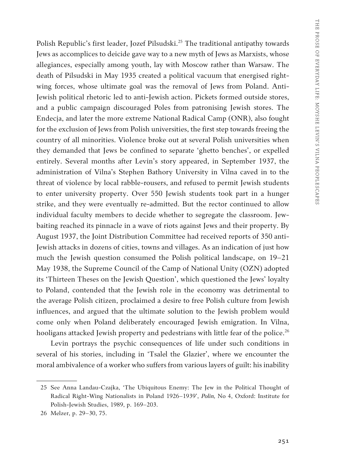Polish Republic's first leader, Jozef Pilsudski.<sup>25</sup> The traditional antipathy towards Jews as accomplices to deicide gave way to a new myth of Jews as Marxists, whose allegiances, especially among youth, lay with Moscow rather than Warsaw. The death of Pilsudski in May 1935 created a political vacuum that energised rightwing forces, whose ultimate goal was the removal of Jews from Poland. Anti-Jewish political rhetoric led to anti-Jewish action. Pickets formed outside stores, and a public campaign discouraged Poles from patronising Jewish stores. The Endecja, and later the more extreme National Radical Camp (ONR), also fought for the exclusion of Jews from Polish universities, the first step towards freeing the country of all minorities. Violence broke out at several Polish universities when they demanded that Jews be confined to separate 'ghetto benches', or expelled entirely. Several months after Levin's story appeared, in September 1937, the administration of Vilna's Stephen Bathory University in Vilna caved in to the threat of violence by local rabble-rousers, and refused to permit Jewish students to enter university property. Over 550 Jewish students took part in a hunger strike, and they were eventually re-admitted. But the rector continued to allow individual faculty members to decide whether to segregate the classroom. Jewbaiting reached its pinnacle in a wave of riots against Jews and their property. By August 1937, the Joint Distribution Committee had received reports of 350 anti-Jewish attacks in dozens of cities, towns and villages. As an indication of just how much the Jewish question consumed the Polish political landscape, on 19–21 May 1938, the Supreme Council of the Camp of National Unity (OZN) adopted its 'Thirteen Theses on the Jewish Question', which questioned the Jews' loyalty to Poland, contended that the Jewish role in the economy was detrimental to the average Polish citizen, proclaimed a desire to free Polish culture from Jewish influences, and argued that the ultimate solution to the Jewish problem would come only when Poland deliberately encouraged Jewish emigration. In Vilna, hooligans attacked Jewish property and pedestrians with little fear of the police.<sup>26</sup>

Levin portrays the psychic consequences of life under such conditions in several of his stories, including in 'Tsalel the Glazier', where we encounter the moral ambivalence of a worker who suffers from various layers of guilt: his inability

<sup>25</sup> See Anna Landau-Czajka, 'The Ubiquitous Enemy: The Jew in the Political Thought of Radical Right-Wing Nationalists in Poland 1926–1939', *Polin,* No 4, Oxford: Institute for Polish-Jewish Studies, 1989, p. 169–203.

<sup>26</sup> Melzer, p. 29–30, 75.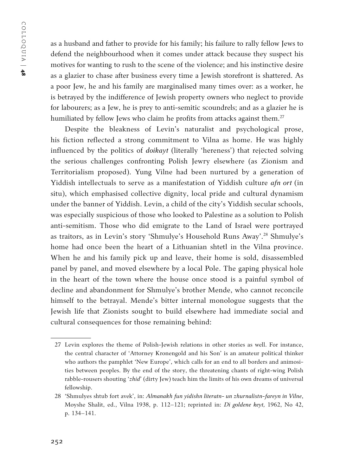as a husband and father to provide for his family; his failure to rally fellow Jews to defend the neighbourhood when it comes under attack because they suspect his motives for wanting to rush to the scene of the violence; and his instinctive desire as a glazier to chase after business every time a Jewish storefront is shattered. As a poor Jew, he and his family are marginalised many times over: as a worker, he is betrayed by the indifference of Jewish property owners who neglect to provide for labourers; as a Jew, he is prey to anti-semitic scoundrels; and as a glazier he is humiliated by fellow Jews who claim he profits from attacks against them.<sup>27</sup>

Despite the bleakness of Levin's naturalist and psychological prose, his fiction reflected a strong commitment to Vilna as home. He was highly influenced by the politics of *doikayt* (literally 'hereness') that rejected solving the serious challenges confronting Polish Jewry elsewhere (as Zionism and Territorialism proposed). Yung Vilne had been nurtured by a generation of Yiddish intellectuals to serve as a manifestation of Yiddish culture *afn ort* (in situ), which emphasised collective dignity, local pride and cultural dynamism under the banner of Yiddish. Levin, a child of the city's Yiddish secular schools, was especially suspicious of those who looked to Palestine as a solution to Polish anti-semitism. Those who did emigrate to the Land of Israel were portrayed as traitors, as in Levin's story 'Shmulye's Household Runs Away'.28 Shmulye's home had once been the heart of a Lithuanian shtetl in the Vilna province. When he and his family pick up and leave, their home is sold, disassembled panel by panel, and moved elsewhere by a local Pole. The gaping physical hole in the heart of the town where the house once stood is a painful symbol of decline and abandonment for Shmulye's brother Mende, who cannot reconcile himself to the betrayal. Mende's bitter internal monologue suggests that the Jewish life that Zionists sought to build elsewhere had immediate social and cultural consequences for those remaining behind:

<sup>27</sup> Levin explores the theme of Polish-Jewish relations in other stories as well. For instance, the central character of 'Attorney Kronengold and his Son' is an amateur political thinker who authors the pamphlet 'New Europe', which calls for an end to all borders and animosities between peoples. By the end of the story, the threatening chants of right-wing Polish rabble-rousers shouting '*zhid*' (dirty Jew) teach him the limits of his own dreams of universal fellowship.

<sup>28</sup> 'Shmulyes shtub fort avek', in: *Almanakh fun yidishn literatn- un zhurnalistn-fareyn in Vilne*, Moyshe Shalit, ed., Vilna 1938, p. 112–121; reprinted in: *Di goldene keyt,* 1962, No 42, p. 134–141.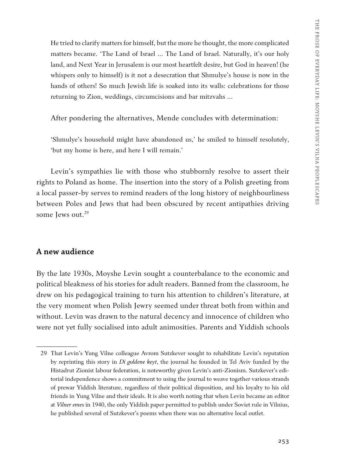He tried to clarify matters for himself, but the more he thought, the more complicated matters became. 'The Land of Israel ... The Land of Israel. Naturally, it's our holy land, and Next Year in Jerusalem is our most heartfelt desire, but God in heaven! (he whispers only to himself) is it not a desecration that Shmulye's house is now in the hands of others! So much Jewish life is soaked into its walls: celebrations for those returning to Zion, weddings, circumcisions and bar mitzvahs …

After pondering the alternatives, Mende concludes with determination:

'Shmulye's household might have abandoned us,' he smiled to himself resolutely, 'but my home is here, and here I will remain.'

Levin's sympathies lie with those who stubbornly resolve to assert their rights to Poland as home. The insertion into the story of a Polish greeting from a local passer-by serves to remind readers of the long history of neighbourliness between Poles and Jews that had been obscured by recent antipathies driving some Jews out.<sup>29</sup>

# **A new audience**

By the late 1930s, Moyshe Levin sought a counterbalance to the economic and political bleakness of his stories for adult readers. Banned from the classroom, he drew on his pedagogical training to turn his attention to children's literature, at the very moment when Polish Jewry seemed under threat both from within and without. Levin was drawn to the natural decency and innocence of children who were not yet fully socialised into adult animosities. Parents and Yiddish schools

<sup>29</sup> That Levin's Yung Vilne colleague Avrom Sutzkever sought to rehabilitate Levin's reputation by reprinting this story in *Di goldene keyt*, the journal he founded in Tel Aviv funded by the Histadrut Zionist labour federation, is noteworthy given Levin's anti-Zionism. Sutzkever's editorial independence shows a commitment to using the journal to weave together various strands of prewar Yiddish literature, regardless of their political disposition, and his loyalty to his old friends in Yung Vilne and their ideals. It is also worth noting that when Levin became an editor at *Vilner emes* in 1940, the only Yiddish paper permitted to publish under Soviet rule in Vilnius, he published several of Sutzkever's poems when there was no alternative local outlet.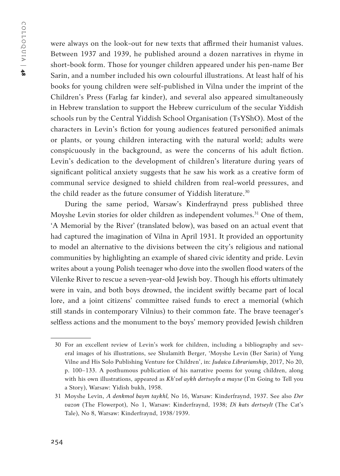were always on the look-out for new texts that affirmed their humanist values. Between 1937 and 1939, he published around a dozen narratives in rhyme in short-book form. Those for younger children appeared under his pen-name Ber Sarin, and a number included his own colourful illustrations. At least half of his books for young children were self-published in Vilna under the imprint of the Children's Press (Farlag far kinder), and several also appeared simultaneously in Hebrew translation to support the Hebrew curriculum of the secular Yiddish schools run by the Central Yiddish School Organisation (TsYShO). Most of the characters in Levin's fiction for young audiences featured personified animals or plants, or young children interacting with the natural world; adults were conspicuously in the background, as were the concerns of his adult fiction. Levin's dedication to the development of children's literature during years of significant political anxiety suggests that he saw his work as a creative form of communal service designed to shield children from real-world pressures, and the child reader as the future consumer of Yiddish literature.<sup>30</sup>

During the same period, Warsaw's Kinderfraynd press published three Moyshe Levin stories for older children as independent volumes.<sup>31</sup> One of them, 'A Memorial by the River' (translated below), was based on an actual event that had captured the imagination of Vilna in April 1931. It provided an opportunity to model an alternative to the divisions between the city's religious and national communities by highlighting an example of shared civic identity and pride. Levin writes about a young Polish teenager who dove into the swollen flood waters of the Vilenke River to rescue a seven-year-old Jewish boy. Though his efforts ultimately were in vain, and both boys drowned, the incident swiftly became part of local lore, and a joint citizens' committee raised funds to erect a memorial (which still stands in contemporary Vilnius) to their common fate. The brave teenager's selfless actions and the monument to the boys' memory provided Jewish children

<sup>30</sup> For an excellent review of Levin's work for children, including a bibliography and several images of his illustrations, see Shulamith Berger, 'Moyshe Levin (Ber Sarin) of Yung Vilne and His Solo Publishing Venture for Children', in: *Judaica Librarianship*, 2017, No 20, p. 100–133. A posthumous publication of his narrative poems for young children, along with his own illustrations, appeared as *Kh'vel aykh dertseyln a mayse* (I'm Going to Tell you a Story), Warsaw: Yidish bukh, 1958.

<sup>31</sup> Moyshe Levin, *A denkmol baym taykhl,* No 16, Warsaw: Kinderfraynd, 1937. See also *Der vazon* (The Flowerpot), No 1, Warsaw: Kinderfraynd, 1938; *Di kats dertseylt* (The Cat's Tale), No 8, Warsaw: Kinderfraynd, 1938/1939.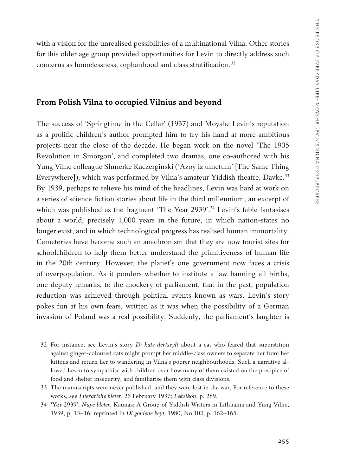with a vision for the unrealised possibilities of a multinational Vilna. Other stories for this older age group provided opportunities for Levin to directly address such concerns as homelessness, orphanhood and class stratification.<sup>32</sup>

### **From Polish Vilna to occupied Vilnius and beyond**

The success of 'Springtime in the Cellar' (1937) and Moyshe Levin's reputation as a prolific children's author prompted him to try his hand at more ambitious projects near the close of the decade. He began work on the novel 'The 1905 Revolution in Smorgon', and completed two dramas, one co-authored with his Yung Vilne colleague Shmerke Kaczerginski ('Azoy iz umetum' [The Same Thing Everywhere]), which was performed by Vilna's amateur Yiddish theatre, Davke*.* 33 By 1939, perhaps to relieve his mind of the headlines, Levin was hard at work on a series of science fiction stories about life in the third millennium, an excerpt of which was published as the fragment 'The Year 2939'.<sup>34</sup> Levin's fable fantasises about a world, precisely 1,000 years in the future, in which nation-states no longer exist, and in which technological progress has realised human immortality. Cemeteries have become such an anachronism that they are now tourist sites for schoolchildren to help them better understand the primitiveness of human life in the 20th century. However, the planet's one government now faces a crisis of overpopulation. As it ponders whether to institute a law banning all births, one deputy remarks, to the mockery of parliament, that in the past, population reduction was achieved through political events known as wars. Levin's story pokes fun at his own fears, written as it was when the possibility of a German invasion of Poland was a real possibility. Suddenly, the parliament's laughter is

<sup>32</sup> For instance, see Levin's story *Di kats dertseylt* about a cat who feared that superstition against ginger-coloured cats might prompt her middle-class owners to separate her from her kittens and return her to wandering in Vilna's poorer neighbourhoods. Such a narrative allowed Levin to sympathise with children over how many of them existed on the precipice of food and shelter insecurity, and familiarise them with class divisions.

<sup>33</sup> The manuscripts were never published, and they were lost in the war. For reference to these works, see *Literarishe bleter*, 26 February 1937; *Leksikon*, p. 289.

<sup>34</sup> 'Yor 2939', *Naye bleter*, Kaunas: A Group of Yiddish Writers in Lithuania and Yung Vilne, 1939, p. 13–16; reprinted in *Di goldene keyt,* 1980, No 102, p. 162–165.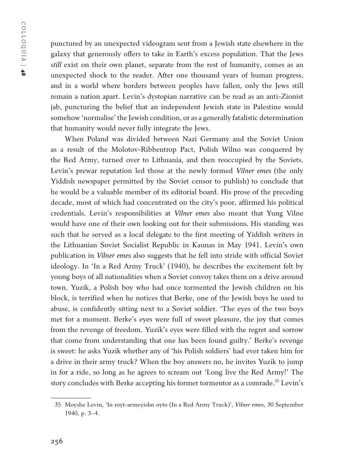punctured by an unexpected videogram sent from a Jewish state elsewhere in the galaxy that generously offers to take in Earth's excess population. That the Jews *still* exist on their own planet, separate from the rest of humanity, comes as an unexpected shock to the reader. After one thousand years of human progress, and in a world where borders between peoples have fallen, only the Jews still remain a nation apart. Levin's dystopian narrative can be read as an anti-Zionist jab, puncturing the belief that an independent Jewish state in Palestine would somehow 'normalise' the Jewish condition, or as a generally fatalistic determination that humanity would never fully integrate the Jews.

When Poland was divided between Nazi Germany and the Soviet Union as a result of the Molotov-Ribbentrop Pact, Polish Wilno was conquered by the Red Army, turned over to Lithuania, and then reoccupied by the Soviets. Levin's prewar reputation led those at the newly formed *Vilner emes* (the only Yiddish newspaper permitted by the Soviet censor to publish) to conclude that he would be a valuable member of its editorial board. His prose of the preceding decade, most of which had concentrated on the city's poor, affirmed his political credentials. Levin's responsibilities at *Vilner emes* also meant that Yung Vilne would have one of their own looking out for their submissions*.*His standing was such that he served as a local delegate to the first meeting of Yiddish writers in the Lithuanian Soviet Socialist Republic in Kaunas in May 1941. Levin's own publication in *Vilner emes* also suggests that he fell into stride with official Soviet ideology. In 'In a Red Army Truck' (1940), he describes the excitement felt by young boys of all nationalities when a Soviet convoy takes them on a drive around town. Yuzik, a Polish boy who had once tormented the Jewish children on his block, is terrified when he notices that Berke, one of the Jewish boys he used to abuse, is confidently sitting next to a Soviet soldier. 'The eyes of the two boys met for a moment. Berke's eyes were full of sweet pleasure, the joy that comes from the revenge of freedom. Yuzik's eyes were filled with the regret and sorrow that come from understanding that one has been found guilty.' Berke's revenge is sweet: he asks Yuzik whether any of 'his Polish soldiers' had ever taken him for a drive in their army truck? When the boy answers no, he invites Yuzik to jump in for a ride, so long as he agrees to scream out 'Long live the Red Army!' The story concludes with Berke accepting his former tormentor as a comrade.<sup>35</sup> Levin's

<sup>35</sup> Moyshe Levin, 'In royt-armeyishn oyto (In a Red Army Truck)', *Vilner emes*, 30 September 1940, p. 3–4.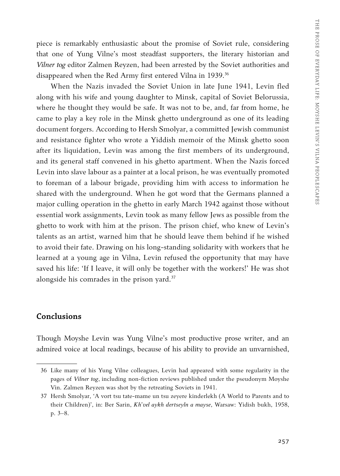piece is remarkably enthusiastic about the promise of Soviet rule, considering that one of Yung Vilne's most steadfast supporters, the literary historian and *Vilner tog* editor Zalmen Reyzen, had been arrested by the Soviet authorities and disappeared when the Red Army first entered Vilna in 1939.<sup>36</sup>

When the Nazis invaded the Soviet Union in late June 1941, Levin fled along with his wife and young daughter to Minsk, capital of Soviet Belorussia, where he thought they would be safe. It was not to be, and, far from home, he came to play a key role in the Minsk ghetto underground as one of its leading document forgers. According to Hersh Smolyar, a committed Jewish communist and resistance fighter who wrote a Yiddish memoir of the Minsk ghetto soon after its liquidation, Levin was among the first members of its underground, and its general staff convened in his ghetto apartment. When the Nazis forced Levin into slave labour as a painter at a local prison, he was eventually promoted to foreman of a labour brigade, providing him with access to information he shared with the underground. When he got word that the Germans planned a major culling operation in the ghetto in early March 1942 against those without essential work assignments, Levin took as many fellow Jews as possible from the ghetto to work with him at the prison. The prison chief, who knew of Levin's talents as an artist, warned him that he should leave them behind if he wished to avoid their fate. Drawing on his long-standing solidarity with workers that he learned at a young age in Vilna, Levin refused the opportunity that may have saved his life: 'If I leave, it will only be together with the workers!' He was shot alongside his comrades in the prison yard.<sup>37</sup>

# **Conclusions**

Though Moyshe Levin was Yung Vilne's most productive prose writer, and an admired voice at local readings, because of his ability to provide an unvarnished,

<sup>36</sup> Like many of his Yung Vilne colleagues, Levin had appeared with some regularity in the pages of *Vilner tog*, including non-fiction reviews published under the pseudonym Moyshe Vin. Zalmen Reyzen was shot by the retreating Soviets in 1941.

<sup>37</sup> Hersh Smolyar, 'A vort tsu tate-mame un tsu zeyere kinderlekh (A World to Parents and to their Children)', in: Ber Sarin, *Kh'vel aykh dertseyln a mayse*, Warsaw: Yidish bukh, 1958, p. 3–8.